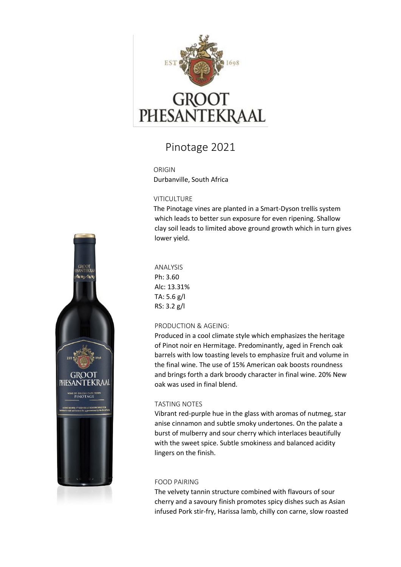

# GROOT<br>PHESANTEKRAAL

## Pinotage 2021

ORIGIN Durbanville, South Africa

#### **VITICULTURE**

The Pinotage vines are planted in a Smart-Dyson trellis system which leads to better sun exposure for even ripening. Shallow clay soil leads to limited above ground growth which in turn gives lower yield.

ANALYSIS Ph: 3.60 Alc: 13.31% TA: 5.6 g/l RS: 3.2 g/l

### PRODUCTION & AGEING:

Produced in a cool climate style which emphasizes the heritage of Pinot noir en Hermitage. Predominantly, aged in French oak barrels with low toasting levels to emphasize fruit and volume in the final wine. The use of 15% American oak boosts roundness and brings forth a dark broody character in final wine. 20% New oak was used in final blend.

### TASTING NOTES

Vibrant red-purple hue in the glass with aromas of nutmeg, star anise cinnamon and subtle smoky undertones. On the palate a burst of mulberry and sour cherry which interlaces beautifully with the sweet spice. Subtle smokiness and balanced acidity lingers on the finish.

#### FOOD PAIRING

The velvety tannin structure combined with flavours of sour cherry and a savoury finish promotes spicy dishes such as Asian infused Pork stir-fry, Harissa lamb, chilly con carne, slow roasted